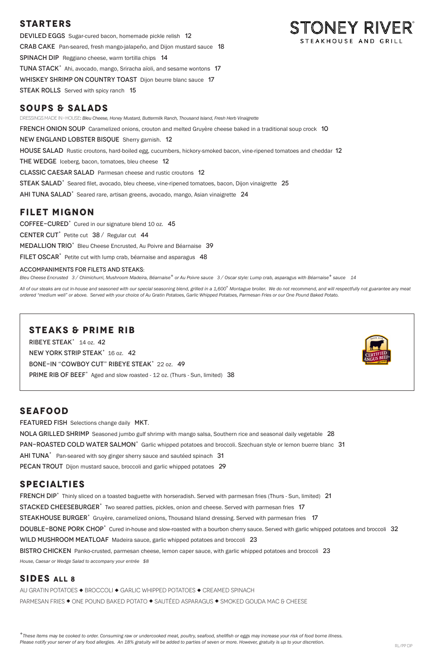# **STARTERS**

DEVILED EGGS Sugar-cured bacon, homemade pickle relish 12 Crab CakePan-seared, fresh mango-jalapeño, and Dijon mustard sauce 18 SPINACH DIP Reggiano cheese, warm tortilla chips 14 TUNA STACK<sup>+</sup> Ahi, avocado, mango, Sriracha aïoli, and sesame wontons 17 WHISKEY SHRIMP ON COUNTRY TOAST Dijon beurre blanc sauce 17 STEAK ROLLS Served with spicy ranch 15

DRESSINGS MADE IN-HOUSE: *Bleu Cheese, Honey Mustard, Buttermilk Ranch, Thousand Island, Fresh Herb Vinaigrette*  **FRENCH ONION SOUP** Caramelized onions, crouton and melted Gruyère cheese baked in a traditional soup crock 10 New England Lobster BisqueSherry garnish. 12 HOUSE SALAD Rustic croutons, hard-boiled egg, cucumbers, hickory-smoked bacon, vine-ripened tomatoes and cheddar 12 THE WEDGE Iceberg, bacon, tomatoes, bleu cheese 12 Classic Caesar SaladParmesan cheese and rustic croutons 12 STEAK SALAD<sup>+</sup> Seared filet, avocado, bleu cheese, vine-ripened tomatoes, bacon, Dijon vinaigrette 25 AHI TUNA SALAD<sup>+</sup> Seared rare, artisan greens, avocado, mango, Asian vinaigrette 24

## **SOUPS & SALADS**

All of our steaks are cut in-house and seasoned with our special seasoning blend, grilled in a 1,600° Montague broiler. We do not recommend, and will respectfully not guarantee any meat *ordered "medium well" or above. Served with your choice of Au Gratin Potatoes, Garlic Whipped Potatoes, Parmesan Fries or our One Pound Baked Potato.*

Ribeye Steak+ 14 oz. 42 NEW YORK STRIP STEAK<sup>+</sup> 16 oz. 42 BONE-IN "COWBOY CUT" RIBEYE STEAK<sup>+</sup> 22 oz. 49 PRIME RIB OF BEEF<sup>+</sup> Aged and slow roasted - 12 oz. (Thurs - Sun, limited) 38



STONEY RIVER®

STEAKHOUSE AND GRILL

# **FILET MIGNON**

COFFEE-CURED<sup>+</sup> Cured in our signature blend 10 oz. 45

CENTER CUT<sup>+</sup> Petite cut  $38 /$  Regular cut 44

MEDALLION TRIO<sup>+</sup> Bleu Cheese Encrusted, Au Poivre and Béarnaise 39

FILET OSCAR<sup>+</sup> Petite cut with lump crab, béarnaise and asparagus 48

#### ACCOMPANIMENTS FOR FILETS AND STEAKS:

*Bleu Cheese Encrusted 3 / Chimichurri, Mushroom Madeira, Béarnaise+ or Au Poivre sauce 3 / Oscar style: Lump crab, asparagus with Béarnaise+ sauce 14*

FRENCH DIP<sup>+</sup> Thinly sliced on a toasted baguette with horseradish. Served with parmesan fries (Thurs - Sun, limited) 21 STACKED CHEESEBURGER<sup>+</sup> Two seared patties, pickles, onion and cheese. Served with parmesan fries 17 STEAKHOUSE BURGER<sup>+</sup> Gruyère, caramelized onions, Thousand Island dressing. Served with parmesan fries 17 DOUBLE-BONE PORK CHOP<sup>+</sup> Cured in-house and slow-roasted with a bourbon cherry sauce. Served with garlic whipped potatoes and broccoli 32 WILD MUSHROOM MEATLOAF Madeira sauce, garlic whipped potatoes and broccoli 23 BISTRO CHICKEN Panko-crusted, parmesan cheese, lemon caper sauce, with garlic whipped potatoes and broccoli 23 *House, Caesar or Wedge Salad to accompany your entrée \$8* 

### **SIDES ALL 8** AU GRATIN POTATOES ◆ BROCCOLI ◆ GARLIC WHIPPED POTATOES ◆ CREAMED SPINACH PARMESAN FRIES ◆ ONE POUND BAKED POTATO ◆ SAUTÉED ASPARAGUS ◆ SMOKED GOUDA MAC & CHEESE

*<sup>+</sup>These items may be cooked to order. Consuming raw or undercooked meat, poultry, seafood, shellfish or eggs may increase your risk of food borne illness.* Please notify your server of any food allergies. An 18% gratuity will be added to parties of seven or more. However, gratuity is up to your discretion.<br>RL/PP DP

## **STEAKS & PRIME RIB**

# **SEAFOOD**

FEATURED FISH Selections change daily MKT.

NOLA GRILLED SHRIMP Seasoned jumbo gulf shrimp with mango salsa, Southern rice and seasonal daily vegetable 28 PAN-ROASTED COLD WATER SALMON<sup>+</sup> Garlic whipped potatoes and broccoli. Szechuan style or lemon buerre blanc 31 AHI TUNA<sup>+</sup> Pan-seared with soy ginger sherry sauce and sautéed spinach 31 PECAN TROUT Dijon mustard sauce, broccoli and garlic whipped potatoes 29

# **SPECIALTIES**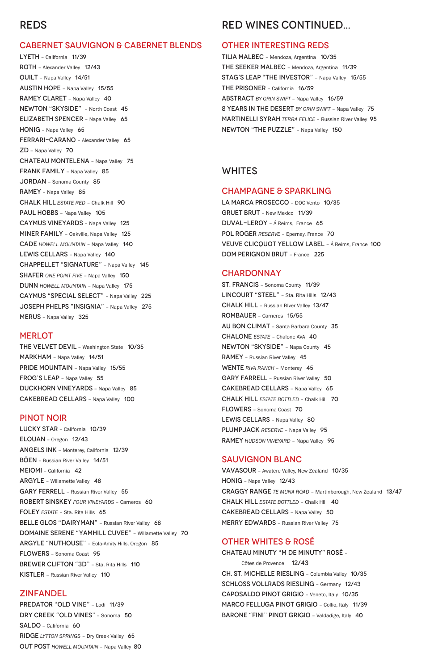# REDS

### CABERNET SAUVIGNON & CABERNET BLENDS

LYETH – California 11/39 ROTH – Alexander Valley 12/43 QUILT – Napa Valley 14/51 AUSTIN HOPE – Napa Valley 15/55 RAMEY CLARET - Napa Valley 40 NEWTON "SKYSIDE" – North Coast 45 ELIZABETH SPENCER – Napa Valley 65 HONIG - Napa Valley 65 FERRARI-CARANO - Alexander Valley 65 ZD – Napa Valley 70 CHATEAU MONTELENA – Napa Valley 75 FRANK FAMILY - Napa Valley 85 JORDAN – Sonoma County 85 RAMEY – Napa Valley 85 CHALK HILL *ESTATE RED* – Chalk Hill 90 PAUL HOBBS - Napa Valley 105 CAYMUS VINEYARDS – Napa Valley 125 MINER FAMILY – Oakville, Napa Valley 125 CADE *HOWELL MOUNTAIN* – Napa Valley 140 LEWIS CELLARS - Napa Valley 140 CHAPPELLET "SIGNATURE" – Napa Valley 145 SHAFER *ONE POINT FIVE* - Napa Valley 150 DUNN *HOWELL MOUNTAIN* – Napa Valley 175 CAYMUS "SPECIAL SELECT" – Napa Valley 225 JOSEPH PHELPS "INSIGNIA" – Napa Valley 275 MERUS – Napa Valley 325

#### **MERLOT**

PREDATOR "OLD VINE" - Lodi 11/39 DRY CREEK "OLD VINES" – Sonoma 50 SALDO – California 60 RIDGE *LYTTON SPRINGS* – Dry Creek Valley 65 OUT POST *HOWELL MOUNTAIN* – Napa Valley 80

THE VELVET DEVIL – Washington State 10/35 MARKHAM – Napa Valley 14/51 PRIDE MOUNTAIN - Napa Valley 15/55 FROG'S LEAP – Napa Valley 55 DUCKHORN VINEYARDS – Napa Valley 85 CAKEBREAD CELLARS – Napa Valley 100

### PINOT NOIR

LUCKY STAR – California 10/39 ELOUAN – Oregon 12/43 ANGELS INK – Monterey, California 12/39 BÖEN – Russian River Valley 14/51 MEIOMI – California 42 ARGYLE – Willamette Valley 48 GARY FERRELL - Russian River Valley 55 ROBERT SINSKEY *FOUR VINEYARDS* – Carneros 60 FOLEY *ESTATE* - Sta. Rita Hills 65 BELLE GLOS "DAIRYMAN" - Russian River Valley 68 DOMAINE SERENE "YAMHILL CUVEE" – Willamette Valley 70 ARGYLE "NUTHOUSE" – Eola-Amity Hills, Oregon 85 FLOWERS – Sonoma Coast 95 BREWER CLIFTON "3D" - Sta. Rita Hills 110 KISTLER – Russian River Valley 110

#### ZINFANDEL

Côtes de Provence 12/43 CH. ST. MICHELLE RIESLING – Columbia Valley 10/35 SCHLOSS VOLLRADS RIESLING – Germany 12/43 CAPOSALDO PINOT GRIGIO – Veneto, Italy 10/35 MARCO FELLUGA PINOT GRIGIO – Collio, Italy 11/39 BARONE "FINI" PINOT GRIGIO - Valdadige, Italy 40

# RED WINES CONTINUED...

#### OTHER INTERESTING REDS

TILIA MALBEC – Mendoza, Argentina 10/35 THE SEEKER MALBEC – Mendoza, Argentina 11/39 STAG'S LEAP "THE INVESTOR" – Napa Valley 15/55 THE PRISONER – California 16/59 ABSTRACT *BY ORIN SWIFT* – Napa Valley 16/59 8 YEARS IN THE DESERT *BY ORIN SWIFT* – Napa Valley 75 MARTINELLI SYRAH *TERRA FELICE* – Russian River Valley 95 NEWTON "THE PUZZLE" – Napa Valley 150

### WHITES

#### CHAMPAGNE & SPARKLING

LA MARCA PROSECCO – DOC Vento 10/35 GRUET BRUT – New Mexico 11/39 DUVAL-LEROY – Á Reims, France 65 POL ROGER RESERVE - Epernay, France 70 VEUVE CLICQUOT YELLOW LABEL – Á Reims, France 100 DOM PERIGNON BRUT – France 225

#### **CHARDONNAY**

ST. FRANCIS – Sonoma County 11/39 LINCOURT "STEEL" – Sta. Rita Hills 12/43 CHALK HILL – Russian RIver Valley 13/47 ROMBAUER – Carneros 15/55 AU BON CLIMAT – Santa Barbara County 35 CHALONE *ESTATE* – Chalone AVA 40 NEWTON "SKYSIDE" – Napa County 45 RAMEY – Russian River Valley 45 WENTE RIVA RANCH - Monterey 45 GARY FARRELL - Russian River Valley 50 CAKEBREAD CELLARS – Napa Valley 65 CHALK HILL *ESTATE BOTTLED* – Chalk Hill 70 FLOWERS – Sonoma Coast 70 LEWIS CELLARS - Napa Valley 80 PLUMPJACK RESERVE - Napa Valley 95 RAMEY *HUDSON VINEYARD* – Napa Valley 95

### SAUVIGNON BLANC

VAVASOUR – Awatere Valley, New Zealand 10/35 HONIG – Napa Valley 12/43 CRAGGY RANGE *TE MUNA ROAD* – Martinborough, New Zealand 13/47 CHALK HILL *ESTATE BOTTLED* – Chalk Hill 40 CAKEBREAD CELLARS – Napa Valley 50 MERRY EDWARDS – Russian River Valley 75

### OTHER WHITES & ROSÉ

CHATEAU MINUTY "M DE MINUTY" ROSÉ –